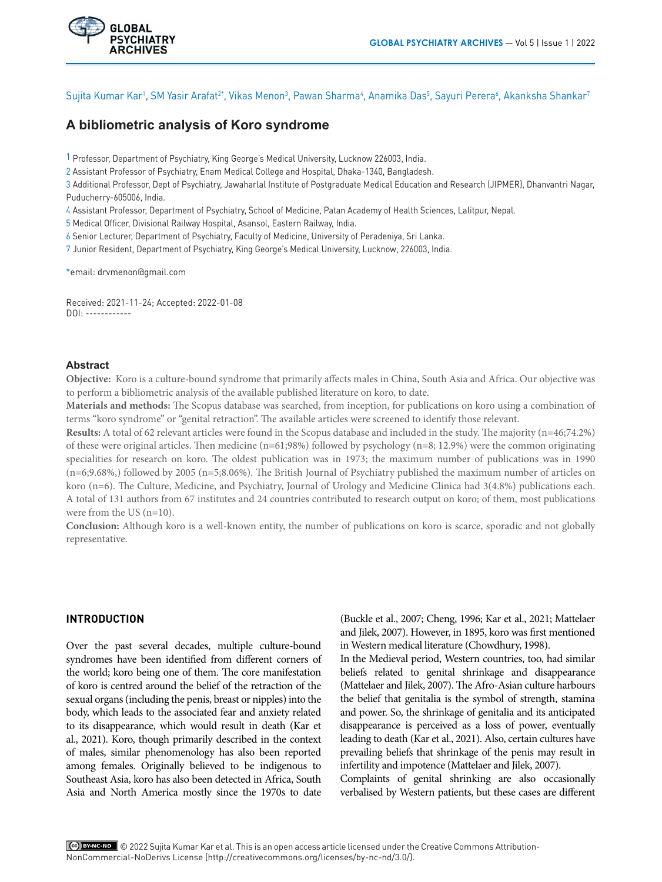

Sujita Kumar Kar<sup>1</sup>, SM Yasir Arafat<sup>2</sup>\*, Vikas Menon<sup>3</sup>, Pawan Sharma<del>'</del>, Anamika Das<sup>5</sup>, Sayuri Perera', Akanksha Shankar<sup>7</sup>

# **A bibliometric analysis of Koro syndrome**

1 Professor, Department of Psychiatry, King George's Medical University, Lucknow 226003, India.

2 Assistant Professor of Psychiatry, Enam Medical College and Hospital, Dhaka-1340, Bangladesh.

3 Additional Professor, Dept of Psychiatry, Jawaharlal Institute of Postgraduate Medical Education and Research (JIPMER), Dhanvantri Nagar, Puducherry-605006, India.

4 Assistant Professor, Department of Psychiatry, School of Medicine, Patan Academy of Health Sciences, Lalitpur, Nepal.

5 Medical Officer, Divisional Railway Hospital, Asansol, Eastern Railway, India.

6 Senior Lecturer, Department of Psychiatry, Faculty of Medicine, University of Peradeniya, Sri Lanka.

7 Junior Resident, Department of Psychiatry, King George's Medical University, Lucknow, 226003, India.

\*email: drvmenon@gmail.com

**GLOBAL PSYCHIATRY ARCHIVES** 

Received: 2021-11-24; Accepted: 2022-01-08 DOI: ------------

## **Abstract**

**Objective:** Koro is a culture-bound syndrome that primarily affects males in China, South Asia and Africa. Our objective was to perform a bibliometric analysis of the available published literature on koro, to date.

**Materials and methods:** The Scopus database was searched, from inception, for publications on koro using a combination of terms "koro syndrome" or "genital retraction". The available articles were screened to identify those relevant.

**Results:** A total of 62 relevant articles were found in the Scopus database and included in the study. The majority (n=46;74.2%) of these were original articles. Then medicine (n=61;98%) followed by psychology (n=8; 12.9%) were the common originating specialities for research on koro. The oldest publication was in 1973; the maximum number of publications was in 1990 (n=6;9.68%,) followed by 2005 (n=5;8.06%). The British Journal of Psychiatry published the maximum number of articles on koro (n=6). The Culture, Medicine, and Psychiatry, Journal of Urology and Medicine Clinica had 3(4.8%) publications each. A total of 131 authors from 67 institutes and 24 countries contributed to research output on koro; of them, most publications were from the US (n=10).

**Conclusion:** Although koro is a well-known entity, the number of publications on koro is scarce, sporadic and not globally representative.

# **INTRODUCTION**

Over the past several decades, multiple culture-bound syndromes have been identified from different corners of the world; koro being one of them. The core manifestation of koro is centred around the belief of the retraction of the sexual organs (including the [penis](https://www.sciencedirect.com/topics/medicine-and-dentistry/phallus), breast or nipples) into the body, which leads to the associated fear and anxiety related to its disappearance, which would result in death (Kar et al., 2021). Koro, though primarily described in the context of males, similar phenomenology has also been reported among females. Originally believed to be indigenous to Southeast Asia, koro has also been detected in Africa, South Asia and North America mostly since the 1970s to date (Buckle et al., 2007; Cheng, 1996; Kar et al., 2021; Mattelaer and Jilek, 2007). However, in 1895, koro was first mentioned in Western medical literature (Chowdhury, 1998).

In the Medieval period, Western countries, too, had similar beliefs related to genital shrinkage and disappearance (Mattelaer and Jilek, 2007). The Afro-Asian culture harbours the belief that genitalia is the symbol of strength, stamina and power. So, the shrinkage of genitalia and its anticipated disappearance is perceived as a loss of power, eventually leading to death (Kar et al., 2021). Also, certain cultures have prevailing beliefs that shrinkage of the penis may result in infertility and impotence (Mattelaer and Jilek, 2007).

Complaints of genital shrinking are also occasionally verbalised by Western patients, but these cases are different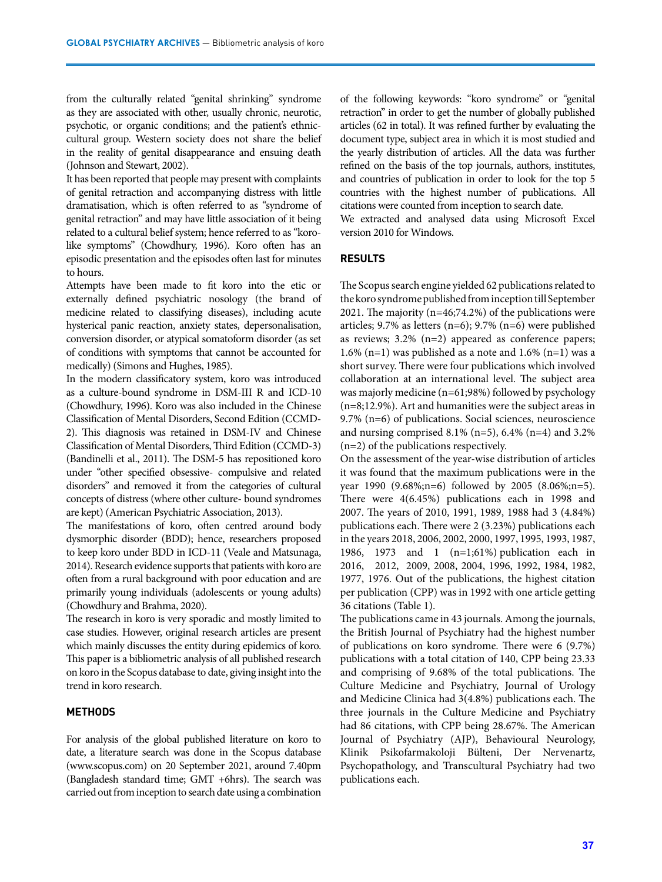from the culturally related "genital shrinking" syndrome as they are associated with other, usually chronic, neurotic, psychotic, or organic conditions; and the patient's ethniccultural group. Western society does not share the belief in the reality of genital disappearance and ensuing death (Johnson and Stewart, 2002).

It has been reported that people may present with complaints of genital retraction and accompanying distress with little dramatisation, which is often referred to as "syndrome of genital retraction" and may have little association of it being related to a cultural belief system; hence referred to as "korolike symptoms" (Chowdhury, 1996). Koro often has an episodic presentation and the episodes often last for minutes to hours.

Attempts have been made to fit koro into the etic or externally defined psychiatric nosology (the brand of medicine related to classifying diseases), including acute hysterical panic reaction, anxiety states, depersonalisation, conversion disorder, or atypical somatoform disorder (as set of conditions with symptoms that cannot be accounted for medically) (Simons and Hughes, 1985).

In the modern classificatory system, koro was introduced as a culture-bound syndrome in DSM-III R and ICD-10 (Chowdhury, 1996). Koro was also included in the Chinese Classification of Mental Disorders, Second Edition (CCMD-2). This diagnosis was retained in DSM-IV and Chinese Classification of Mental Disorders, Third Edition (CCMD-3) (Bandinelli et al., 2011). The DSM-5 has repositioned koro under "other specified obsessive- compulsive and related disorders" and removed it from the categories of cultural concepts of distress (where other culture- bound syndromes are kept) (American Psychiatric Association, 2013).

The manifestations of koro, often centred around body dysmorphic disorder (BDD); hence, researchers proposed to keep koro under BDD in ICD-11 (Veale and Matsunaga, 2014). Research evidence supports that patients with koro are often from a rural background with poor education and are primarily young individuals (adolescents or young adults) (Chowdhury and Brahma, 2020).

The research in koro is very sporadic and mostly limited to case studies. However, original research articles are present which mainly discusses the entity during epidemics of koro. This paper is a bibliometric analysis of all published research on koro in the Scopus database to date, giving insight into the trend in koro research.

## **METHODS**

For analysis of the global published literature on koro to date, a literature search was done in the Scopus database ([www.scopus.com](http://www.scopus.com/)) on 20 September 2021, around 7.40pm (Bangladesh standard time; GMT +6hrs). The search was carried out from inception to search date using a combination of the following keywords: "koro syndrome" or "genital retraction" in order to get the number of globally published articles (62 in total). It was refined further by evaluating the document type, subject area in which it is most studied and the yearly distribution of articles. All the data was further refined on the basis of the top journals, authors, institutes, and countries of publication in order to look for the top 5 countries with the highest number of publications. All citations were counted from inception to search date.

We extracted and analysed data using Microsoft Excel version 2010 for Windows.

#### **RESULTS**

The Scopus search engine yielded 62 publications related to the koro syndrome published from inception till September 2021. The majority (n=46;74.2%) of the publications were articles;  $9.7\%$  as letters (n=6);  $9.7\%$  (n=6) were published as reviews; 3.2% (n=2) appeared as conference papers; 1.6% (n=1) was published as a note and 1.6% (n=1) was a short survey. There were four publications which involved collaboration at an international level. The subject area was majorly medicine (n=61;98%) followed by psychology (n=8;12.9%). Art and humanities were the subject areas in 9.7% (n=6) of publications. Social sciences, neuroscience and nursing comprised 8.1% (n=5), 6.4% (n=4) and 3.2% (n=2) of the publications respectively.

On the assessment of the year-wise distribution of articles it was found that the maximum publications were in the year 1990 (9.68%;n=6) followed by 2005 (8.06%;n=5). There were 4(6.45%) publications each in 1998 and 2007. The years of 2010, 1991, 1989, 1988 had 3 (4.84%) publications each. There were 2 (3.23%) publications each in the years 2018, 2006, 2002, 2000, 1997, 1995, 1993, 1987, 1986, 1973 and 1 (n=1;61%) publication each in 2016, 2012, 2009, 2008, 2004, 1996, 1992, 1984, 1982, 1977, 1976. Out of the publications, the highest citation per publication (CPP) was in 1992 with one article getting 36 citations (Table 1).

The publications came in 43 journals. Among the journals, the British Journal of Psychiatry had the highest number of publications on koro syndrome. There were 6 (9.7%) publications with a total citation of 140, CPP being 23.33 and comprising of 9.68% of the total publications. The Culture Medicine and Psychiatry, Journal of Urology and Medicine Clinica had 3(4.8%) publications each. The three journals in the Culture Medicine and Psychiatry had 86 citations, with CPP being 28.67%. The American Journal of Psychiatry (AJP), Behavioural Neurology, Klinik Psikofarmakoloji Bülteni, Der Nervenartz, Psychopathology, and Transcultural Psychiatry had two publications each.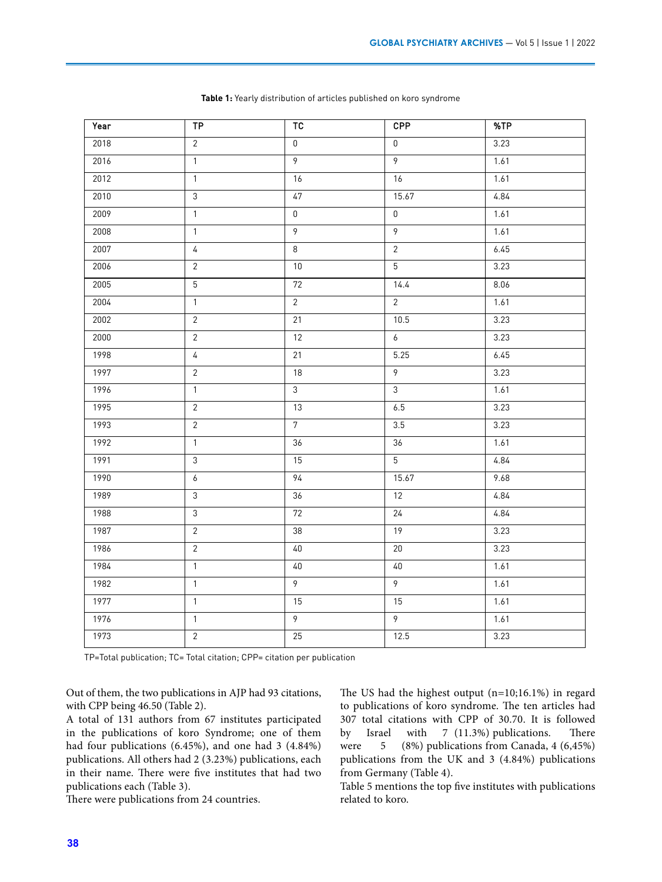| Year | TP               | TC              | <b>CPP</b>     | %TP  |
|------|------------------|-----------------|----------------|------|
| 2018 | $\overline{2}$   | $\mathbf 0$     | $\mathbf 0$    | 3.23 |
| 2016 | $\overline{1}$   | $\overline{9}$  | $\overline{9}$ | 1.61 |
| 2012 | $\mathbf{1}$     | 16              | 16             | 1.61 |
| 2010 | $\overline{3}$   | 47              | 15.67          | 4.84 |
| 2009 | $\mathbf{1}$     | $\mathbf 0$     | $\mathbf 0$    | 1.61 |
| 2008 | $\mathbf{1}$     | 9               | $\overline{9}$ | 1.61 |
| 2007 | $\overline{4}$   | 8               | $\overline{2}$ | 6.45 |
| 2006 | $\overline{2}$   | $10\,$          | $\overline{5}$ | 3.23 |
| 2005 | $5\phantom{.0}$  | $72\,$          | 14.4           | 8.06 |
| 2004 | $\overline{1}$   | $\overline{2}$  | $\overline{2}$ | 1.61 |
| 2002 | $\overline{2}$   | 21              | 10.5           | 3.23 |
| 2000 | $\overline{2}$   | 12              | $\overline{6}$ | 3.23 |
| 1998 | $\sqrt{4}$       | 21              | 5.25           | 6.45 |
| 1997 | $\overline{2}$   | 18              | $\overline{9}$ | 3.23 |
| 1996 | $\mathbf{1}$     | $\mathfrak{Z}$  | $\overline{3}$ | 1.61 |
| 1995 | $\overline{2}$   | 13              | 6.5            | 3.23 |
| 1993 | $\overline{2}$   | $7\overline{ }$ | 3.5            | 3.23 |
| 1992 | $\overline{1}$   | 36              | 36             | 1.61 |
| 1991 | $\mathfrak{Z}$   | 15              | $\overline{5}$ | 4.84 |
| 1990 | $\boldsymbol{6}$ | $\overline{94}$ | 15.67          | 9.68 |
| 1989 | $\mathfrak{Z}$   | 36              | 12             | 4.84 |
| 1988 | $\mathfrak{Z}$   | 72              | 24             | 4.84 |
| 1987 | $\overline{2}$   | 38              | 19             | 3.23 |
| 1986 | $\overline{2}$   | $40\,$          | $20\,$         | 3.23 |
| 1984 | $\overline{1}$   | $40$            | $40$           | 1.61 |
| 1982 | $\mathbf{1}$     | $\overline{9}$  | $\overline{9}$ | 1.61 |
| 1977 | $\mathbf{1}$     | 15              | 15             | 1.61 |
| 1976 | $\mathbf{1}$     | $\overline{9}$  | $\overline{9}$ | 1.61 |
| 1973 | $\overline{2}$   | 25              | 12.5           | 3.23 |

**Table 1:** Yearly distribution of articles published on koro syndrome

TP=Total publication; TC= Total citation; CPP= citation per publication

Out of them, the two publications in AJP had 93 citations, with CPP being 46.50 (Table 2).

A total of 131 authors from 67 institutes participated in the publications of koro Syndrome; one of them had four publications (6.45%), and one had 3 (4.84%) publications. All others had 2 (3.23%) publications, each in their name. There were five institutes that had two publications each (Table 3).

There were publications from 24 countries.

The US had the highest output (n=10;16.1%) in regard to publications of koro syndrome. The ten articles had 307 total citations with CPP of 30.70. It is followed by Israel with 7 (11.3%) publications. There were 5 (8%) publications from Canada, 4 (6,45%) publications from the UK and 3 (4.84%) publications from Germany (Table 4).

Table 5 mentions the top five institutes with publications related to koro.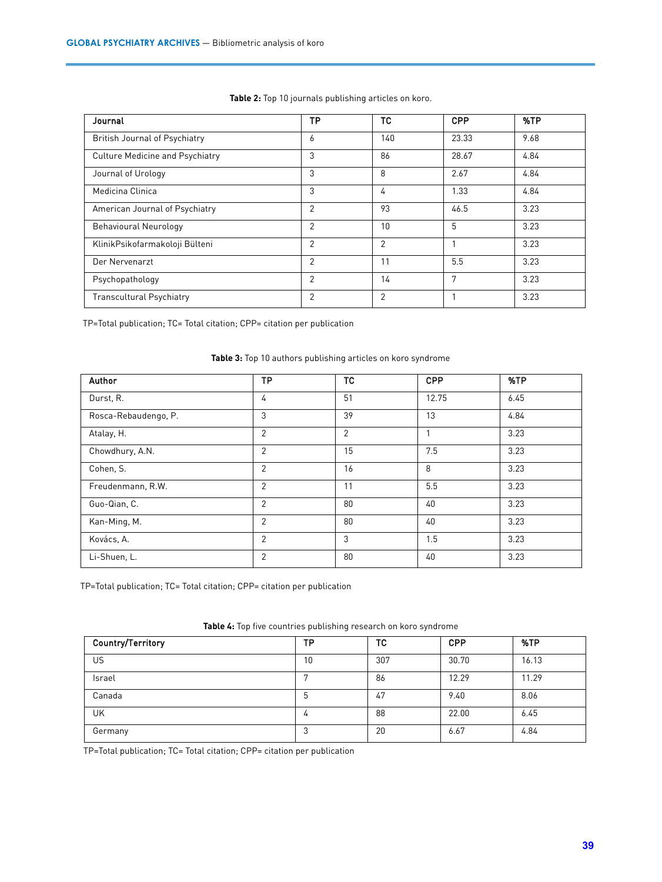| Journal                                | TP             | TC             | CPP   | %TP  |
|----------------------------------------|----------------|----------------|-------|------|
| <b>British Journal of Psychiatry</b>   | 6              | 140            | 23.33 | 9.68 |
| <b>Culture Medicine and Psychiatry</b> | 3              | 86             | 28.67 | 4.84 |
| Journal of Urology                     | 3              | 8              | 2.67  | 4.84 |
| Medicina Clinica                       | 3              | 4              | 1.33  | 4.84 |
| American Journal of Psychiatry         | 2              | 93             | 46.5  | 3.23 |
| <b>Behavioural Neurology</b>           | $\overline{2}$ | 10             | 5     | 3.23 |
| KlinikPsikofarmakoloji Bülteni         | 2              | $\overline{2}$ |       | 3.23 |
| Der Nervenarzt                         | 2              | 11             | 5.5   | 3.23 |
| Psychopathology                        | 2              | 14             | 7     | 3.23 |
| <b>Transcultural Psychiatry</b>        | 2              | $\overline{2}$ |       | 3.23 |

**Table 2:** Top 10 journals publishing articles on koro.

TP=Total publication; TC= Total citation; CPP= citation per publication

| Author               | <b>TP</b>      | <b>TC</b>      | <b>CPP</b> | %TP  |
|----------------------|----------------|----------------|------------|------|
| Durst, R.            | 4              | 51             | 12.75      | 6.45 |
| Rosca-Rebaudengo, P. | 3              | 39             | 13         | 4.84 |
| Atalay, H.           | $\overline{2}$ | $\overline{2}$ |            | 3.23 |
| Chowdhury, A.N.      | $\overline{2}$ | 15             | 7.5        | 3.23 |
| Cohen, S.            | $\overline{2}$ | 16             | 8          | 3.23 |
| Freudenmann, R.W.    | $\overline{2}$ | 11             | 5.5        | 3.23 |
| Guo-Qian, C.         | $\overline{2}$ | 80             | 40         | 3.23 |
| Kan-Ming, M.         | $\overline{2}$ | 80             | 40         | 3.23 |
| Kovács, A.           | $\mathfrak{p}$ | 3              | 1.5        | 3.23 |
| Li-Shuen, L.         | $\overline{2}$ | 80             | 40         | 3.23 |

**Table 3:** Top 10 authors publishing articles on koro syndrome

TP=Total publication; TC= Total citation; CPP= citation per publication

| Country/Territory | ТP | ТC  | <b>CPP</b> | %TP   |
|-------------------|----|-----|------------|-------|
| US                | 10 | 307 | 30.70      | 16.13 |
| Israel            |    | 86  | 12.29      | 11.29 |
| Canada            | h  | 47  | 9.40       | 8.06  |
| UK                |    | 88  | 22.00      | 6.45  |
| Germany           | ◠  | 20  | 6.67       | 4.84  |

**Table 4:** Top five countries publishing research on koro syndrome

TP=Total publication; TC= Total citation; CPP= citation per publication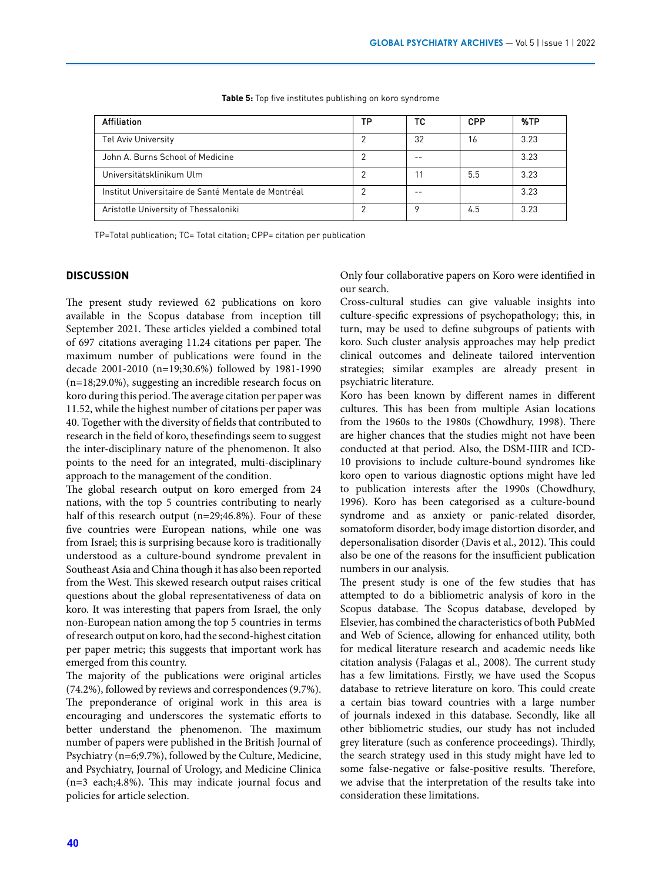| <b>Affiliation</b>                                  | TP | тс | <b>CPP</b> | %TP   |
|-----------------------------------------------------|----|----|------------|-------|
| <b>Tel Aviv University</b>                          |    | 32 | 16         | 3.23  |
| John A. Burns School of Medicine                    |    |    |            | 3.23  |
| Universitätsklinikum Ulm                            |    |    | 5.5        | 3.23  |
| Institut Universitaire de Santé Mentale de Montréal |    |    |            | 3.23  |
| Aristotle University of Thessaloniki                |    |    | 4.5        | 3 2 3 |

**Table 5:** Top five institutes publishing on koro syndrome

TP=Total publication; TC= Total citation; CPP= citation per publication

# **DISCUSSION**

The present study reviewed 62 publications on koro available in the Scopus database from inception till September 2021. These articles yielded a combined total of 697 citations averaging 11.24 citations per paper. The maximum number of publications were found in the decade 2001-2010 (n=19;30.6%) followed by 1981-1990 (n=18;29.0%), suggesting an incredible research focus on koro during this period. The average citation per paper was 11.52, while the highest number of citations per paper was 40. Together with the diversity of fields that contributed to research in the field of koro, these findings seem to suggest the inter-disciplinary nature of the phenomenon. It also points to the need for an integrated, multi-disciplinary approach to the management of the condition.

The global research output on koro emerged from 24 nations, with the top 5 countries contributing to nearly half of this research output (n=29;46.8%). Four of these five countries were European nations, while one was from Israel; this is surprising because koro is traditionally understood as a culture-bound syndrome prevalent in Southeast Asia and China though it has also been reported from the West. This skewed research output raises critical questions about the global representativeness of data on koro. It was interesting that papers from Israel, the only non-European nation among the top 5 countries in terms of research output on koro, had the second-highest citation per paper metric; this suggests that important work has emerged from this country.

The majority of the publications were original articles (74.2%), followed by reviews and correspondences (9.7%). The preponderance of original work in this area is encouraging and underscores the systematic efforts to better understand the phenomenon. The maximum number of papers were published in the British Journal of Psychiatry (n=6;9.7%), followed by the Culture, Medicine, and Psychiatry, Journal of Urology, and Medicine Clinica (n=3 each;4.8%). This may indicate journal focus and policies for article selection.

Only four collaborative papers on Koro were identified in our search.

Cross-cultural studies can give valuable insights into culture-specific expressions of psychopathology; this, in turn, may be used to define subgroups of patients with koro. Such cluster analysis approaches may help predict clinical outcomes and delineate tailored intervention strategies; similar examples are already present in psychiatric literature.

Koro has been known by different names in different cultures. This has been from multiple Asian locations from the 1960s to the 1980s (Chowdhury, 1998). There are higher chances that the studies might not have been conducted at that period. Also, the DSM-IIIR and ICD-10 provisions to include culture-bound syndromes like koro open to various diagnostic options might have led to publication interests after the 1990s (Chowdhury, 1996). Koro has been categorised as a culture-bound syndrome and as anxiety or panic-related disorder, somatoform disorder, body image distortion disorder, and depersonalisation disorder (Davis et al., 2012). This could also be one of the reasons for the insufficient publication numbers in our analysis.

The present study is one of the few studies that has attempted to do a bibliometric analysis of koro in the Scopus database. The Scopus database, developed by Elsevier, has combined the characteristics of both PubMed and Web of Science, allowing for enhanced utility, both for medical literature research and academic needs like citation analysis (Falagas et al., 2008). The current study has a few limitations. Firstly, we have used the Scopus database to retrieve literature on koro. This could create a certain bias toward countries with a large number of journals indexed in this database. Secondly, like all other bibliometric studies, our study has not included grey literature (such as conference proceedings). Thirdly, the search strategy used in this study might have led to some false-negative or false-positive results. Therefore, we advise that the interpretation of the results take into consideration these limitations.